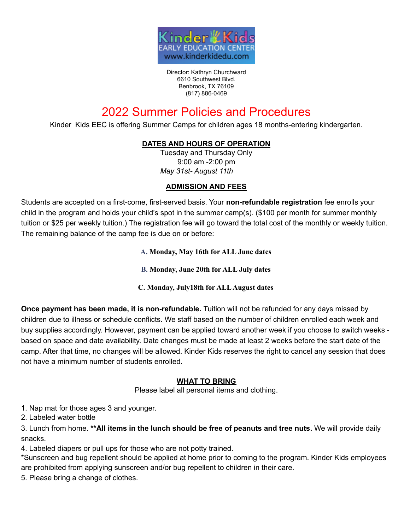

Director: Kathryn Churchward 6610 Southwest Blvd. Benbrook, TX 76109 (817) 886-0469

# 2022 Summer Policies and Procedures

Kinder Kids EEC is offering Summer Camps for children ages 18 months-entering kindergarten.

# **DATES AND HOURS OF OPERATION**

Tuesday and Thursday Only 9:00 am -2:00 pm *May 31st- August 11th*

#### **ADMISSION AND FEES**

Students are accepted on a first-come, first-served basis. Your **non-refundable registration** fee enrolls your child in the program and holds your child's spot in the summer camp(s). (\$100 per month for summer monthly tuition or \$25 per weekly tuition.) The registration fee will go toward the total cost of the monthly or weekly tuition. The remaining balance of the camp fee is due on or before:

**A. Monday, May 16th for ALL June dates**

**B. Monday, June 20th for ALL July dates**

**C. Monday, July18th for ALLAugust dates**

**Once payment has been made, it is non-refundable.** Tuition will not be refunded for any days missed by children due to illness or schedule conflicts. We staff based on the number of children enrolled each week and buy supplies accordingly. However, payment can be applied toward another week if you choose to switch weeks based on space and date availability. Date changes must be made at least 2 weeks before the start date of the camp. After that time, no changes will be allowed. Kinder Kids reserves the right to cancel any session that does not have a minimum number of students enrolled.

# **WHAT TO BRING**

Please label all personal items and clothing.

1. Nap mat for those ages 3 and younger.

2. Labeled water bottle

3. Lunch from home. **\*\*All items in the lunch should be free of peanuts and tree nuts.** We will provide daily snacks.

4. Labeled diapers or pull ups for those who are not potty trained.

\*Sunscreen and bug repellent should be applied at home prior to coming to the program. Kinder Kids employees are prohibited from applying sunscreen and/or bug repellent to children in their care.

5. Please bring a change of clothes.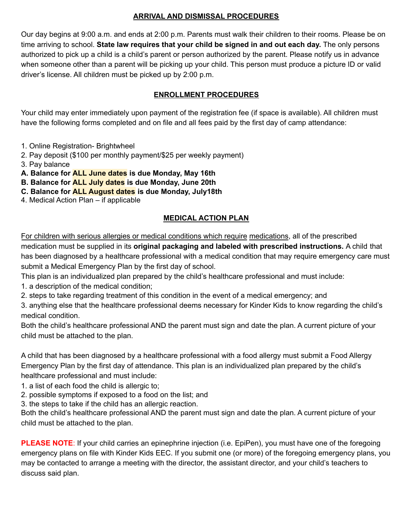# **ARRIVAL AND DISMISSAL PROCEDURES**

Our day begins at 9:00 a.m. and ends at 2:00 p.m. Parents must walk their children to their rooms. Please be on time arriving to school. **State law requires that your child be signed in and out each day.** The only persons authorized to pick up a child is a child's parent or person authorized by the parent. Please notify us in advance when someone other than a parent will be picking up your child. This person must produce a picture ID or valid driver's license. All children must be picked up by 2:00 p.m.

# **ENROLLMENT PROCEDURES**

Your child may enter immediately upon payment of the registration fee (if space is available). All children must have the following forms completed and on file and all fees paid by the first day of camp attendance:

- 1. Online Registration- Brightwheel
- 2. Pay deposit (\$100 per monthly payment/\$25 per weekly payment)
- 3. Pay balance
- **A. Balance for ALL June dates is due Monday, May 16th**
- **B. Balance for ALL July dates is due Monday, June 20th**
- **C. Balance for ALL August dates is due Monday, July18th**
- 4. Medical Action Plan if applicable

# **MEDICAL ACTION PLAN**

For children with serious allergies or medical conditions which require medications, all of the prescribed medication must be supplied in its **original packaging and labeled with prescribed instructions.** A child that has been diagnosed by a healthcare professional with a medical condition that may require emergency care must submit a Medical Emergency Plan by the first day of school.

- This plan is an individualized plan prepared by the child's healthcare professional and must include:
- 1. a description of the medical condition;
- 2. steps to take regarding treatment of this condition in the event of a medical emergency; and

3. anything else that the healthcare professional deems necessary for Kinder Kids to know regarding the child's medical condition.

Both the child's healthcare professional AND the parent must sign and date the plan. A current picture of your child must be attached to the plan.

A child that has been diagnosed by a healthcare professional with a food allergy must submit a Food Allergy Emergency Plan by the first day of attendance. This plan is an individualized plan prepared by the child's healthcare professional and must include:

- 1. a list of each food the child is allergic to;
- 2. possible symptoms if exposed to a food on the list; and
- 3. the steps to take if the child has an allergic reaction.

Both the child's healthcare professional AND the parent must sign and date the plan. A current picture of your child must be attached to the plan.

**PLEASE NOTE**: If your child carries an epinephrine injection (i.e. EpiPen), you must have one of the foregoing emergency plans on file with Kinder Kids EEC. If you submit one (or more) of the foregoing emergency plans, you may be contacted to arrange a meeting with the director, the assistant director, and your child's teachers to discuss said plan.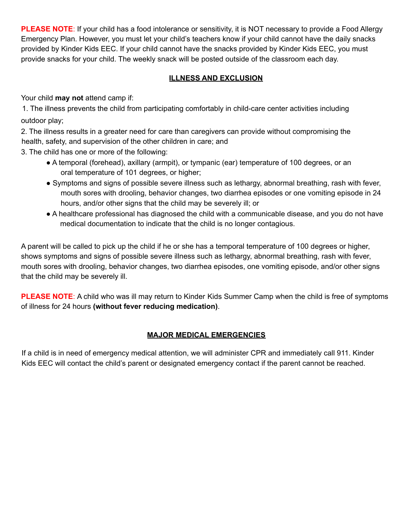**PLEASE NOTE**: If your child has a food intolerance or sensitivity, it is NOT necessary to provide a Food Allergy Emergency Plan. However, you must let your child's teachers know if your child cannot have the daily snacks provided by Kinder Kids EEC. If your child cannot have the snacks provided by Kinder Kids EEC, you must provide snacks for your child. The weekly snack will be posted outside of the classroom each day.

# **ILLNESS AND EXCLUSION**

Your child **may not** attend camp if:

1. The illness prevents the child from participating comfortably in child-care center activities including outdoor play;

2. The illness results in a greater need for care than caregivers can provide without compromising the health, safety, and supervision of the other children in care; and

3. The child has one or more of the following:

- A temporal (forehead), axillary (armpit), or tympanic (ear) temperature of 100 degrees, or an oral temperature of 101 degrees, or higher;
- Symptoms and signs of possible severe illness such as lethargy, abnormal breathing, rash with fever, mouth sores with drooling, behavior changes, two diarrhea episodes or one vomiting episode in 24 hours, and/or other signs that the child may be severely ill; or
- A healthcare professional has diagnosed the child with a communicable disease, and you do not have medical documentation to indicate that the child is no longer contagious.

A parent will be called to pick up the child if he or she has a temporal temperature of 100 degrees or higher, shows symptoms and signs of possible severe illness such as lethargy, abnormal breathing, rash with fever, mouth sores with drooling, behavior changes, two diarrhea episodes, one vomiting episode, and/or other signs that the child may be severely ill.

**PLEASE NOTE**: A child who was ill may return to Kinder Kids Summer Camp when the child is free of symptoms of illness for 24 hours **(without fever reducing medication)**.

# **MAJOR MEDICAL EMERGENCIES**

If a child is in need of emergency medical attention, we will administer CPR and immediately call 911. Kinder Kids EEC will contact the child's parent or designated emergency contact if the parent cannot be reached.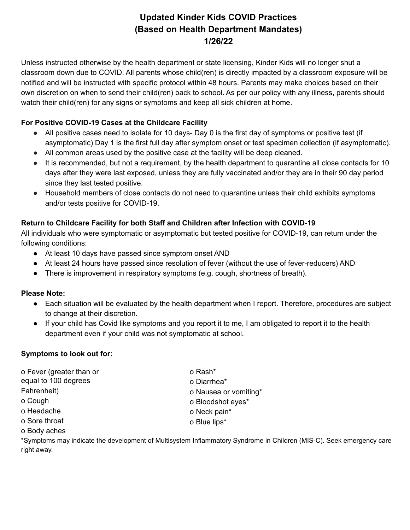# **Updated Kinder Kids COVID Practices (Based on Health Department Mandates) 1/26/22**

Unless instructed otherwise by the health department or state licensing, Kinder Kids will no longer shut a classroom down due to COVID. All parents whose child(ren) is directly impacted by a classroom exposure will be notified and will be instructed with specific protocol within 48 hours. Parents may make choices based on their own discretion on when to send their child(ren) back to school. As per our policy with any illness, parents should watch their child(ren) for any signs or symptoms and keep all sick children at home.

# **For Positive COVID-19 Cases at the Childcare Facility**

- All positive cases need to isolate for 10 days- Day 0 is the first day of symptoms or positive test (if asymptomatic) Day 1 is the first full day after symptom onset or test specimen collection (if asymptomatic).
- All common areas used by the positive case at the facility will be deep cleaned.
- It is recommended, but not a requirement, by the health department to quarantine all close contacts for 10 days after they were last exposed, unless they are fully vaccinated and/or they are in their 90 day period since they last tested positive.
- Household members of close contacts do not need to quarantine unless their child exhibits symptoms and/or tests positive for COVID-19.

# **Return to Childcare Facility for both Staff and Children after Infection with COVID-19**

All individuals who were symptomatic or asymptomatic but tested positive for COVID-19, can return under the following conditions:

- At least 10 days have passed since symptom onset AND
- At least 24 hours have passed since resolution of fever (without the use of fever-reducers) AND
- There is improvement in respiratory symptoms (e.g. cough, shortness of breath).

# **Please Note:**

- Each situation will be evaluated by the health department when I report. Therefore, procedures are subject to change at their discretion.
- If your child has Covid like symptoms and you report it to me, I am obligated to report it to the health department even if your child was not symptomatic at school.

# **Symptoms to look out for:**

o Fever (greater than or equal to 100 degrees Fahrenheit) o Cough o Headache o Sore throat o Body aches o Rash\* o Diarrhea\* o Nausea or vomiting\* o Bloodshot eyes\* o Neck pain\* o Blue lips\*

\*Symptoms may indicate the development of Multisystem Inflammatory Syndrome in Children (MIS-C). Seek emergency care right away.